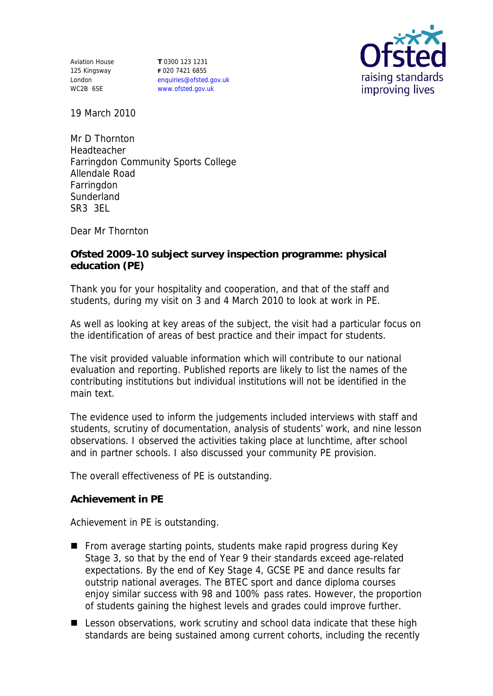Aviation House 125 Kingsway London WC2B 6SE

**T** 0300 123 1231 **F** 020 7421 6855 enquiries@ofsted.gov.uk www.ofsted.gov.uk



19 March 2010

Mr D Thornton Headteacher Farringdon Community Sports College Allendale Road Farringdon **Sunderland** SR3 3EL

Dear Mr Thornton

**Ofsted 2009-10 subject survey inspection programme: physical education (PE)**

Thank you for your hospitality and cooperation, and that of the staff and students, during my visit on 3 and 4 March 2010 to look at work in PE.

As well as looking at key areas of the subject, the visit had a particular focus on the identification of areas of best practice and their impact for students.

The visit provided valuable information which will contribute to our national evaluation and reporting. Published reports are likely to list the names of the contributing institutions but individual institutions will not be identified in the main text.

The evidence used to inform the judgements included interviews with staff and students, scrutiny of documentation, analysis of students' work, and nine lesson observations. I observed the activities taking place at lunchtime, after school and in partner schools. I also discussed your community PE provision.

The overall effectiveness of PE is outstanding.

**Achievement in PE**

Achievement in PE is outstanding.

- **From average starting points, students make rapid progress during Key** Stage 3, so that by the end of Year 9 their standards exceed age-related expectations. By the end of Key Stage 4, GCSE PE and dance results far outstrip national averages. The BTEC sport and dance diploma courses enjoy similar success with 98 and 100% pass rates. However, the proportion of students gaining the highest levels and grades could improve further.
- Lesson observations, work scrutiny and school data indicate that these high standards are being sustained among current cohorts, including the recently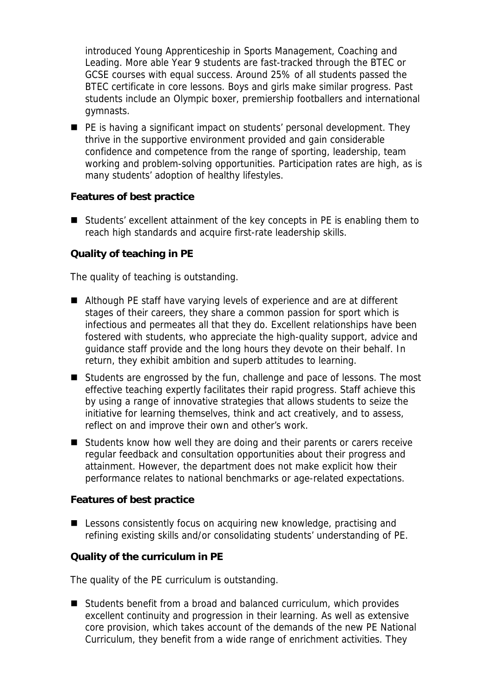introduced Young Apprenticeship in Sports Management, Coaching and Leading. More able Year 9 students are fast-tracked through the BTEC or GCSE courses with equal success. Around 25% of all students passed the BTEC certificate in core lessons. Boys and girls make similar progress. Past students include an Olympic boxer, premiership footballers and international gymnasts.

**PE** is having a significant impact on students' personal development. They thrive in the supportive environment provided and gain considerable confidence and competence from the range of sporting, leadership, team working and problem-solving opportunities. Participation rates are high, as is many students' adoption of healthy lifestyles.

**Features of best practice**

■ Students' excellent attainment of the key concepts in PE is enabling them to reach high standards and acquire first-rate leadership skills.

**Quality of teaching in PE**

The quality of teaching is outstanding.

- Although PE staff have varying levels of experience and are at different stages of their careers, they share a common passion for sport which is infectious and permeates all that they do. Excellent relationships have been fostered with students, who appreciate the high-quality support, advice and guidance staff provide and the long hours they devote on their behalf. In return, they exhibit ambition and superb attitudes to learning.
- Students are engrossed by the fun, challenge and pace of lessons. The most effective teaching expertly facilitates their rapid progress. Staff achieve this by using a range of innovative strategies that allows students to seize the initiative for learning themselves, think and act creatively, and to assess, reflect on and improve their own and other's work.
- Students know how well they are doing and their parents or carers receive regular feedback and consultation opportunities about their progress and attainment. However, the department does not make explicit how their performance relates to national benchmarks or age-related expectations.

**Features of best practice**

■ Lessons consistently focus on acquiring new knowledge, practising and refining existing skills and/or consolidating students' understanding of PE.

**Quality of the curriculum in PE**

The quality of the PE curriculum is outstanding.

■ Students benefit from a broad and balanced curriculum, which provides excellent continuity and progression in their learning. As well as extensive core provision, which takes account of the demands of the new PE National Curriculum, they benefit from a wide range of enrichment activities. They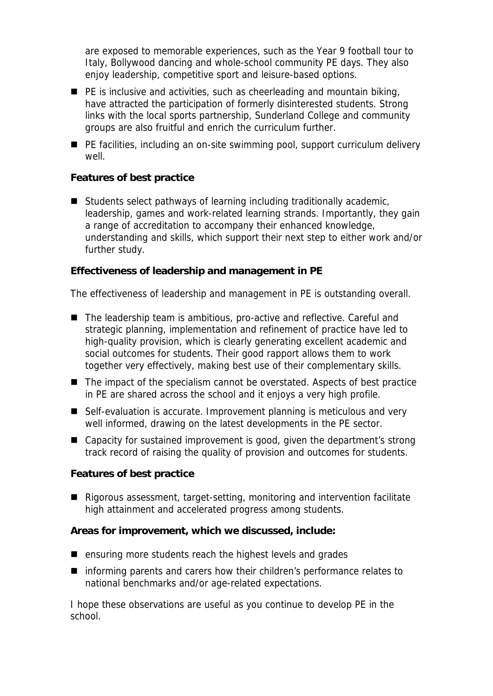are exposed to memorable experiences, such as the Year 9 football tour to Italy, Bollywood dancing and whole-school community PE days. They also enjoy leadership, competitive sport and leisure-based options.

- $\blacksquare$  PE is inclusive and activities, such as cheerleading and mountain biking, have attracted the participation of formerly disinterested students. Strong links with the local sports partnership, Sunderland College and community groups are also fruitful and enrich the curriculum further.
- PE facilities, including an on-site swimming pool, support curriculum delivery well.

**Features of best practice**

■ Students select pathways of learning including traditionally academic, leadership, games and work-related learning strands. Importantly, they gain a range of accreditation to accompany their enhanced knowledge, understanding and skills, which support their next step to either work and/or further study.

**Effectiveness of leadership and management in PE**

The effectiveness of leadership and management in PE is outstanding overall.

- The leadership team is ambitious, pro-active and reflective. Careful and strategic planning, implementation and refinement of practice have led to high-quality provision, which is clearly generating excellent academic and social outcomes for students. Their good rapport allows them to work together very effectively, making best use of their complementary skills.
- The impact of the specialism cannot be overstated. Aspects of best practice in PE are shared across the school and it enjoys a very high profile.
- Self-evaluation is accurate. Improvement planning is meticulous and very well informed, drawing on the latest developments in the PE sector.
- Capacity for sustained improvement is good, given the department's strong track record of raising the quality of provision and outcomes for students.

**Features of best practice**

Rigorous assessment, target-setting, monitoring and intervention facilitate high attainment and accelerated progress among students.

**Areas for improvement, which we discussed, include:**

- ensuring more students reach the highest levels and grades
- informing parents and carers how their children's performance relates to national benchmarks and/or age-related expectations.

I hope these observations are useful as you continue to develop PE in the school.